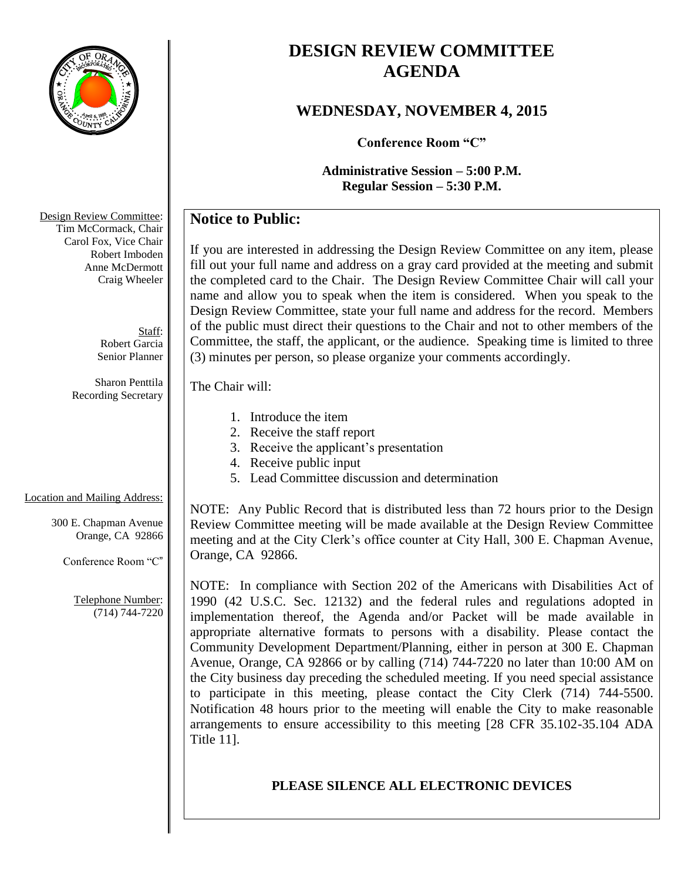

# **DESIGN REVIEW COMMITTEE AGENDA**

## **WEDNESDAY, NOVEMBER 4, 2015**

**Conference Room "C"**

**Administrative Session – 5:00 P.M. Regular Session – 5:30 P.M.**

## **Notice to Public:**

If you are interested in addressing the Design Review Committee on any item, please fill out your full name and address on a gray card provided at the meeting and submit the completed card to the Chair. The Design Review Committee Chair will call your name and allow you to speak when the item is considered. When you speak to the Design Review Committee, state your full name and address for the record. Members of the public must direct their questions to the Chair and not to other members of the Committee, the staff, the applicant, or the audience. Speaking time is limited to three (3) minutes per person, so please organize your comments accordingly.

#### The Chair will:

- 1. Introduce the item
- 2. Receive the staff report
- 3. Receive the applicant's presentation
- 4. Receive public input
- 5. Lead Committee discussion and determination

### Location and Mailing Address:

300 E. Chapman Avenue Orange, CA 92866

Conference Room "C"

Telephone Number: (714) 744-7220

NOTE: Any Public Record that is distributed less than 72 hours prior to the Design Review Committee meeting will be made available at the Design Review Committee meeting and at the City Clerk's office counter at City Hall, 300 E. Chapman Avenue, Orange, CA 92866.

NOTE: In compliance with Section 202 of the Americans with Disabilities Act of 1990 (42 U.S.C. Sec. 12132) and the federal rules and regulations adopted in implementation thereof, the Agenda and/or Packet will be made available in appropriate alternative formats to persons with a disability. Please contact the Community Development Department/Planning, either in person at 300 E. Chapman Avenue, Orange, CA 92866 or by calling (714) 744-7220 no later than 10:00 AM on the City business day preceding the scheduled meeting. If you need special assistance to participate in this meeting, please contact the City Clerk (714) 744-5500. Notification 48 hours prior to the meeting will enable the City to make reasonable arrangements to ensure accessibility to this meeting [28 CFR 35.102-35.104 ADA Title 11].

### **PLEASE SILENCE ALL ELECTRONIC DEVICES**

Design Review Committee: Tim McCormack, Chair Carol Fox, Vice Chair Robert Imboden Anne McDermott Craig Wheeler

> Staff: Robert Garcia Senior Planner

Sharon Penttila Recording Secretary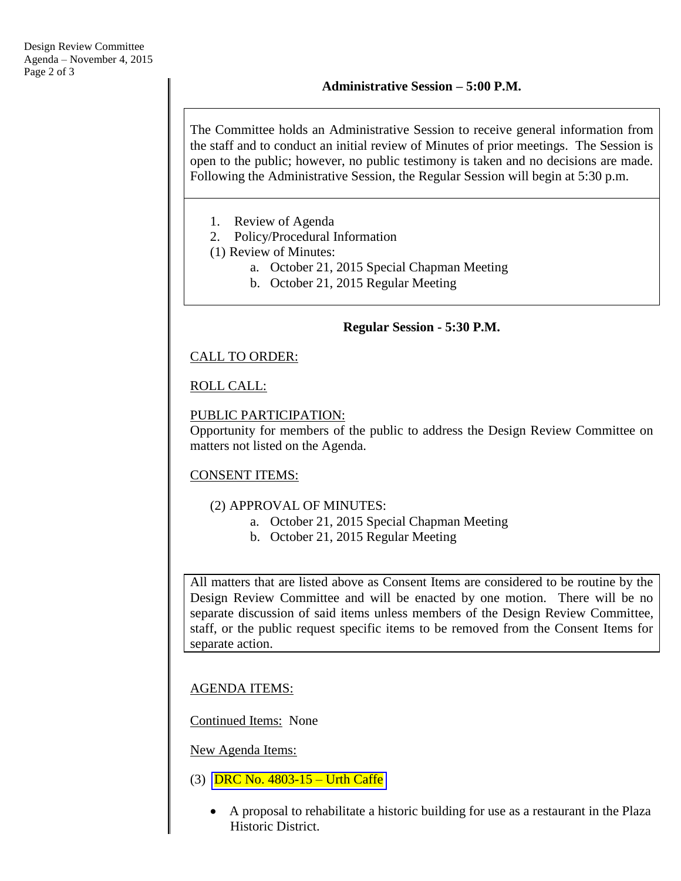The Committee holds an Administrative Session to receive general information from the staff and to conduct an initial review of Minutes of prior meetings. The Session is open to the public; however, no public testimony is taken and no decisions are made. Following the Administrative Session, the Regular Session will begin at 5:30 p.m.

- 1. Review of Agenda
- 2. Policy/Procedural Information
- (1) Review of Minutes:
	- a. October 21, 2015 Special Chapman Meeting
		- b. October 21, 2015 Regular Meeting

#### **Regular Session - 5:30 P.M.**

### CALL TO ORDER:

### ROLL CALL:

### PUBLIC PARTICIPATION:

Opportunity for members of the public to address the Design Review Committee on matters not listed on the Agenda.

### CONSENT ITEMS:

#### (2) APPROVAL OF MINUTES:

- a. October 21, 2015 Special Chapman Meeting
- b. October 21, 2015 Regular Meeting

All matters that are listed above as Consent Items are considered to be routine by the Design Review Committee and will be enacted by one motion. There will be no separate discussion of said items unless members of the Design Review Committee, staff, or the public request specific items to be removed from the Consent Items for separate action.

AGENDA ITEMS:

Continued Items: None

New Agenda Items:

- (3) DRC No. 4803-15 [Urth Caffe](http://www.cityoforange.org/civicax/filebank/blobdload.aspx?BlobID=16766)
	- A proposal to rehabilitate a historic building for use as a restaurant in the Plaza Historic District.